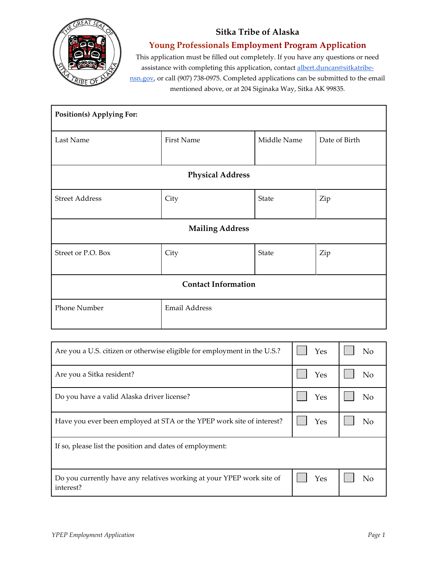## **Sitka Tribe of Alaska**



**Young Professionals Employment Program Application**

This application must be filled out completely. If you have any questions or need assistance with completing this application, contact **albert.duncan@sitkatribe**[nsn.gov,](mailto:albert.duncan@sitkatribe-nsn.gov) or call (907) 738-0975. Completed applications can be submitted to the email mentioned above, or at 204 Siginaka Way, Sitka AK 99835.

| Position(s) Applying For:  |                   |             |               |
|----------------------------|-------------------|-------------|---------------|
| Last Name                  | <b>First Name</b> | Middle Name | Date of Birth |
| <b>Physical Address</b>    |                   |             |               |
| <b>Street Address</b>      | City              | State       | Zip           |
| <b>Mailing Address</b>     |                   |             |               |
| Street or P.O. Box         | City              | State       | Zip           |
| <b>Contact Information</b> |                   |             |               |
| Phone Number               | Email Address     |             |               |

| Are you a U.S. citizen or otherwise eligible for employment in the U.S.?           | Yes | N <sub>o</sub> |
|------------------------------------------------------------------------------------|-----|----------------|
| Are you a Sitka resident?                                                          | Yes | No             |
| Do you have a valid Alaska driver license?                                         | Yes | No             |
| Have you ever been employed at STA or the YPEP work site of interest?              | Yes | No             |
| If so, please list the position and dates of employment:                           |     |                |
| Do you currently have any relatives working at your YPEP work site of<br>interest? | Yes | Nο             |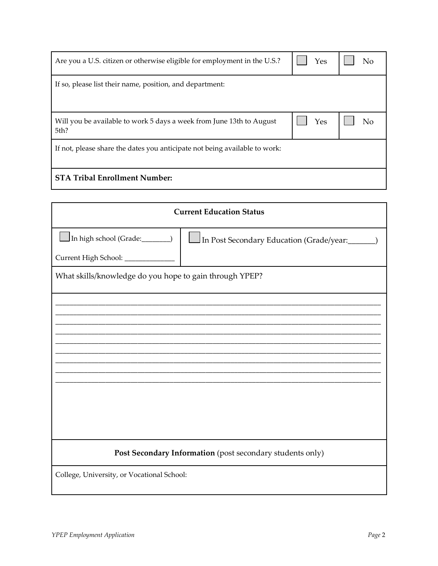| Are you a U.S. citizen or otherwise eligible for employment in the U.S.?     | Yes | No |  |
|------------------------------------------------------------------------------|-----|----|--|
| If so, please list their name, position, and department:                     |     |    |  |
| Will you be available to work 5 days a week from June 13th to August<br>5th? | Yes | Nο |  |
| If not, please share the dates you anticipate not being available to work:   |     |    |  |
| <b>STA Tribal Enrollment Number:</b>                                         |     |    |  |

| <b>Current Education Status</b>                           |                                          |  |  |
|-----------------------------------------------------------|------------------------------------------|--|--|
| In high school (Grade:_______)                            | In Post Secondary Education (Grade/year: |  |  |
| Current High School: _____________                        |                                          |  |  |
| What skills/knowledge do you hope to gain through YPEP?   |                                          |  |  |
|                                                           |                                          |  |  |
|                                                           |                                          |  |  |
|                                                           |                                          |  |  |
|                                                           |                                          |  |  |
|                                                           |                                          |  |  |
|                                                           |                                          |  |  |
|                                                           |                                          |  |  |
|                                                           |                                          |  |  |
| Post Secondary Information (post secondary students only) |                                          |  |  |
| College, University, or Vocational School:                |                                          |  |  |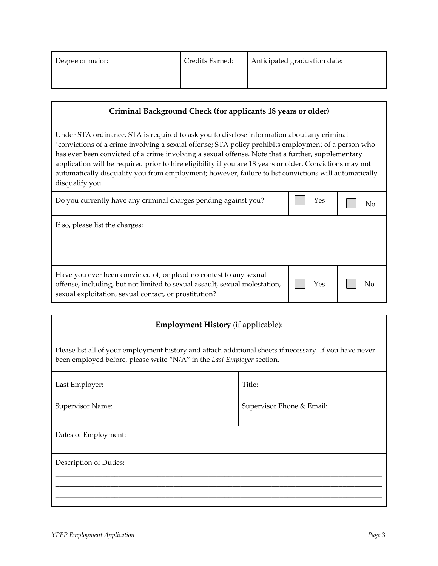| Degree or major: | Credits Earned: | Anticipated graduation date: |
|------------------|-----------------|------------------------------|
|                  |                 |                              |

## **Criminal Background Check (for applicants 18 years or older)**

Under STA ordinance, STA is required to ask you to disclose information about any criminal \*convictions of a crime involving a sexual offense; STA policy prohibits employment of a person who has ever been convicted of a crime involving a sexual offense. Note that a further, supplementary application will be required prior to hire eligibility if you are 18 years or older. Convictions may not automatically disqualify you from employment; however, failure to list convictions will automatically disqualify you.

| Do you currently have any criminal charges pending against you? | $Y$ es $\Box$ No |  |  |
|-----------------------------------------------------------------|------------------|--|--|
|-----------------------------------------------------------------|------------------|--|--|

If so, please list the charges:

| Have you ever been convicted of, or plead no contest to any sexual<br>offense, including, but not limited to sexual assault, sexual molestation, | Yes | No |
|--------------------------------------------------------------------------------------------------------------------------------------------------|-----|----|
| sexual exploitation, sexual contact, or prostitution?                                                                                            |     |    |

## **Employment History** (if applicable):

Please list all of your employment history and attach additional sheets if necessary. If you have never been employed before, please write "N/A" in the *Last Employer* section.

| Last Employer:         | Title:                    |
|------------------------|---------------------------|
| Supervisor Name:       | Supervisor Phone & Email: |
| Dates of Employment:   |                           |
| Description of Duties: |                           |
|                        |                           |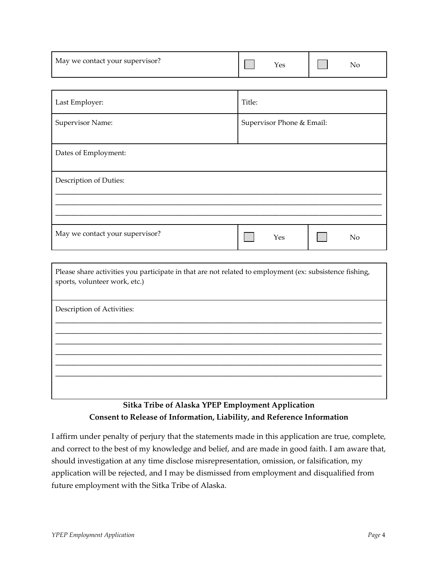| May we contact your supervisor? | .es | 'NC |
|---------------------------------|-----|-----|
|---------------------------------|-----|-----|

| Last Employer:                  | Title:                    |  |
|---------------------------------|---------------------------|--|
| Supervisor Name:                | Supervisor Phone & Email: |  |
| Dates of Employment:            |                           |  |
| Description of Duties:          |                           |  |
|                                 |                           |  |
| May we contact your supervisor? | Yes<br>N <sub>o</sub>     |  |

Please share activities you participate in that are not related to employment (ex: subsistence fishing, sports, volunteer work, etc.)

**\_\_\_\_\_\_\_\_\_\_\_\_\_\_\_\_\_\_\_\_\_\_\_\_\_\_\_\_\_\_\_\_\_\_\_\_\_\_\_\_\_\_\_\_\_\_\_\_\_\_\_\_\_\_\_\_\_\_\_\_\_\_\_\_\_\_\_\_\_\_\_\_\_\_\_\_\_\_\_\_\_\_\_ \_\_\_\_\_\_\_\_\_\_\_\_\_\_\_\_\_\_\_\_\_\_\_\_\_\_\_\_\_\_\_\_\_\_\_\_\_\_\_\_\_\_\_\_\_\_\_\_\_\_\_\_\_\_\_\_\_\_\_\_\_\_\_\_\_\_\_\_\_\_\_\_\_\_\_\_\_\_\_\_\_\_\_ \_\_\_\_\_\_\_\_\_\_\_\_\_\_\_\_\_\_\_\_\_\_\_\_\_\_\_\_\_\_\_\_\_\_\_\_\_\_\_\_\_\_\_\_\_\_\_\_\_\_\_\_\_\_\_\_\_\_\_\_\_\_\_\_\_\_\_\_\_\_\_\_\_\_\_\_\_\_\_\_\_\_\_ \_\_\_\_\_\_\_\_\_\_\_\_\_\_\_\_\_\_\_\_\_\_\_\_\_\_\_\_\_\_\_\_\_\_\_\_\_\_\_\_\_\_\_\_\_\_\_\_\_\_\_\_\_\_\_\_\_\_\_\_\_\_\_\_\_\_\_\_\_\_\_\_\_\_\_\_\_\_\_\_\_\_\_ \_\_\_\_\_\_\_\_\_\_\_\_\_\_\_\_\_\_\_\_\_\_\_\_\_\_\_\_\_\_\_\_\_\_\_\_\_\_\_\_\_\_\_\_\_\_\_\_\_\_\_\_\_\_\_\_\_\_\_\_\_\_\_\_\_\_\_\_\_\_\_\_\_\_\_\_\_\_\_\_\_\_\_ \_\_\_\_\_\_\_\_\_\_\_\_\_\_\_\_\_\_\_\_\_\_\_\_\_\_\_\_\_\_\_\_\_\_\_\_\_\_\_\_\_\_\_\_\_\_\_\_\_\_\_\_\_\_\_\_\_\_\_\_\_\_\_\_\_\_\_\_\_\_\_\_\_\_\_\_\_\_\_\_\_\_\_**

Description of Activities:

## **Sitka Tribe of Alaska YPEP Employment Application Consent to Release of Information, Liability, and Reference Information**

I affirm under penalty of perjury that the statements made in this application are true, complete, and correct to the best of my knowledge and belief, and are made in good faith. I am aware that, should investigation at any time disclose misrepresentation, omission, or falsification, my application will be rejected, and I may be dismissed from employment and disqualified from future employment with the Sitka Tribe of Alaska.